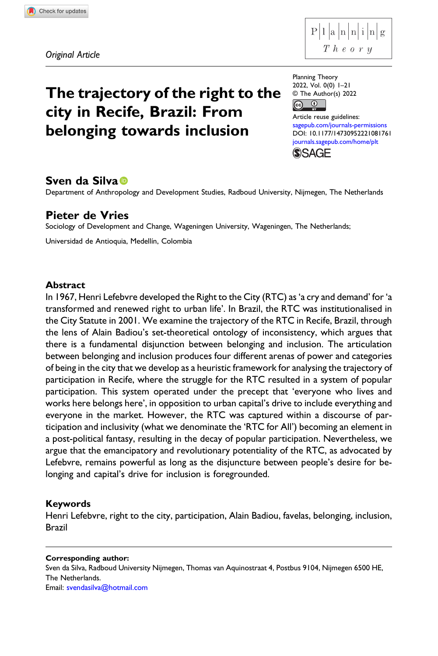

# The trajectory of the right to the city in Recife, Brazil: From belonging towards inclusion

Planning Theory 2022, Vol. 0(0) 1–21 © The Author(s) 2022  $\overline{\bullet}$ 

 $\left($ Article reuse guidelines: [sagepub.com/journals-permissions](https://uk.sagepub.com/en-gb/journals-permissions) DOI: [10.1177/14730952221081761](https://doi.org/10.1177/14730952221081761) [journals.sagepub.com/home/plt](https://journals.sagepub.com/home/plt) **SSAGE** 

# Sven da Silva

Department of Anthropology and Development Studies, Radboud University, Nijmegen, The Netherlands

# Pieter de Vries

Sociology of Development and Change, Wageningen University, Wageningen, The Netherlands;

Universidad de Antioquia, Medellín, Colombia

# **Abstract**

In 1967, Henri Lefebvre developed the Right to the City (RTC) as 'a cry and demand' for'a transformed and renewed right to urban life'. In Brazil, the RTC was institutionalised in the City Statute in 2001. We examine the trajectory of the RTC in Recife, Brazil, through the lens of Alain Badiou's set-theoretical ontology of inconsistency, which argues that there is a fundamental disjunction between belonging and inclusion. The articulation between belonging and inclusion produces four different arenas of power and categories of being in the city that we develop as a heuristic framework for analysing the trajectory of participation in Recife, where the struggle for the RTC resulted in a system of popular participation. This system operated under the precept that 'everyone who lives and works here belongs here', in opposition to urban capital's drive to include everything and everyone in the market. However, the RTC was captured within a discourse of participation and inclusivity (what we denominate the 'RTC for All') becoming an element in a post-political fantasy, resulting in the decay of popular participation. Nevertheless, we argue that the emancipatory and revolutionary potentiality of the RTC, as advocated by Lefebvre, remains powerful as long as the disjuncture between people's desire for belonging and capital's drive for inclusion is foregrounded.

# Keywords

Henri Lefebvre, right to the city, participation, Alain Badiou, favelas, belonging, inclusion, Brazil

Corresponding author: Sven da Silva, Radboud University Nijmegen, Thomas van Aquinostraat 4, Postbus 9104, Nijmegen 6500 HE, The Netherlands. Email: [svendasilva@hotmail.com](mailto:svendasilva@hotmail.com)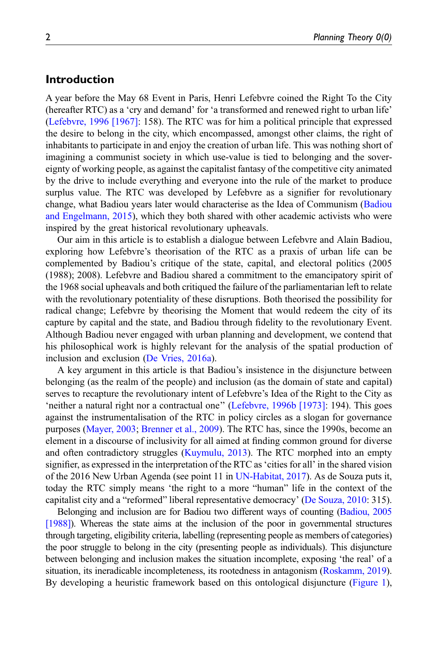# Introduction

A year before the May 68 Event in Paris, Henri Lefebvre coined the Right To the City (hereafter RTC) as a 'cry and demand' for 'a transformed and renewed right to urban life' [\(Lefebvre, 1996 \[1967\]](#page-18-0): 158). The RTC was for him a political principle that expressed the desire to belong in the city, which encompassed, amongst other claims, the right of inhabitants to participate in and enjoy the creation of urban life. This was nothing short of imagining a communist society in which use-value is tied to belonging and the sovereignty of working people, as against the capitalist fantasy of the competitive city animated by the drive to include everything and everyone into the rule of the market to produce surplus value. The RTC was developed by Lefebvre as a signifier for revolutionary change, what Badiou years later would characterise as the Idea of Communism [\(Badiou](#page-17-0) [and Engelmann, 2015\)](#page-17-0), which they both shared with other academic activists who were inspired by the great historical revolutionary upheavals.

Our aim in this article is to establish a dialogue between Lefebvre and Alain Badiou, exploring how Lefebvre's theorisation of the RTC as a praxis of urban life can be complemented by Badiou's critique of the state, capital, and electoral politics (2005 (1988); 2008). Lefebvre and Badiou shared a commitment to the emancipatory spirit of the 1968 social upheavals and both critiqued the failure of the parliamentarian left to relate with the revolutionary potentiality of these disruptions. Both theorised the possibility for radical change; Lefebvre by theorising the Moment that would redeem the city of its capture by capital and the state, and Badiou through fidelity to the revolutionary Event. Although Badiou never engaged with urban planning and development, we contend that his philosophical work is highly relevant for the analysis of the spatial production of inclusion and exclusion ([De Vries, 2016a\)](#page-17-1).

A key argument in this article is that Badiou's insistence in the disjuncture between belonging (as the realm of the people) and inclusion (as the domain of state and capital) serves to recapture the revolutionary intent of Lefebvre's Idea of the Right to the City as 'neither a natural right nor a contractual one'' ([Lefebvre, 1996b \[1973\]:](#page-18-1) 194). This goes against the instrumentalisation of the RTC in policy circles as a slogan for governance purposes [\(Mayer, 2003;](#page-19-0) [Brenner et al., 2009](#page-17-2)). The RTC has, since the 1990s, become an element in a discourse of inclusivity for all aimed at finding common ground for diverse and often contradictory struggles [\(Kuymulu, 2013](#page-18-2)). The RTC morphed into an empty signifier, as expressed in the interpretation of the RTC as'cities for all' in the shared vision of the 2016 New Urban Agenda (see point 11 in [UN-Habitat, 2017](#page-19-1)). As de Souza puts it, today the RTC simply means 'the right to a more "human" life in the context of the capitalist city and a "reformed" liberal representative democracy' ([De Souza, 2010:](#page-17-3) 315).

Belonging and inclusion are for Badiou two different ways of counting [\(Badiou, 2005](#page-17-4) [\[1988\]](#page-17-4)). Whereas the state aims at the inclusion of the poor in governmental structures through targeting, eligibility criteria, labelling (representing people as members of categories) the poor struggle to belong in the city (presenting people as individuals). This disjuncture between belonging and inclusion makes the situation incomplete, exposing 'the real' of a situation, its ineradicable incompleteness, its rootedness in antagonism [\(Roskamm, 2019\)](#page-19-2). By developing a heuristic framework based on this ontological disjuncture [\(Figure 1\)](#page-2-0),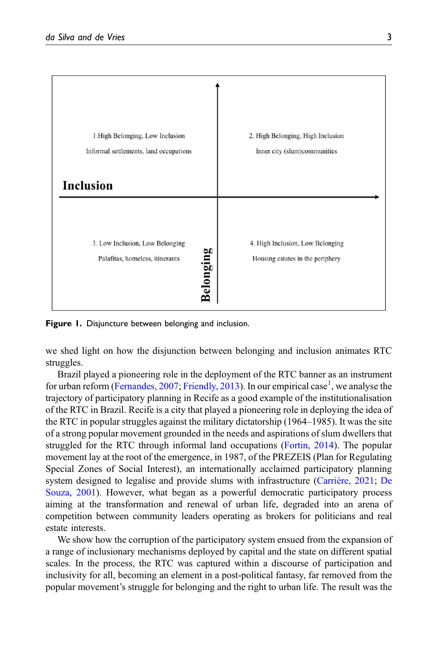

<span id="page-2-0"></span>**Figure 1.** Disjuncture between belonging and inclusion.

we shed light on how the disjunction between belonging and inclusion animates RTC struggles.

Brazil played a pioneering role in the deployment of the RTC banner as an instrument for urban reform ([Fernandes, 2007;](#page-18-3) [Friendly, 2013](#page-18-4)). In our empirical case<sup>[1](#page-16-0)</sup>, we analyse the trajectory of participatory planning in Recife as a good example of the institutionalisation of the RTC in Brazil. Recife is a city that played a pioneering role in deploying the idea of the RTC in popular struggles against the military dictatorship (1964–1985). It was the site of a strong popular movement grounded in the needs and aspirations of slum dwellers that struggled for the RTC through informal land occupations [\(Fortin, 2014](#page-18-5)). The popular movement lay at the root of the emergence, in 1987, of the PREZEIS (Plan for Regulating Special Zones of Social Interest), an internationally acclaimed participatory planning system designed to legalise and provide slums with infrastructure [\(Carrière, 2021](#page-17-5); [De](#page-17-6) [Souza, 2001](#page-17-6)). However, what began as a powerful democratic participatory process aiming at the transformation and renewal of urban life, degraded into an arena of competition between community leaders operating as brokers for politicians and real estate interests.

We show how the corruption of the participatory system ensued from the expansion of a range of inclusionary mechanisms deployed by capital and the state on different spatial scales. In the process, the RTC was captured within a discourse of participation and inclusivity for all, becoming an element in a post-political fantasy, far removed from the popular movement's struggle for belonging and the right to urban life. The result was the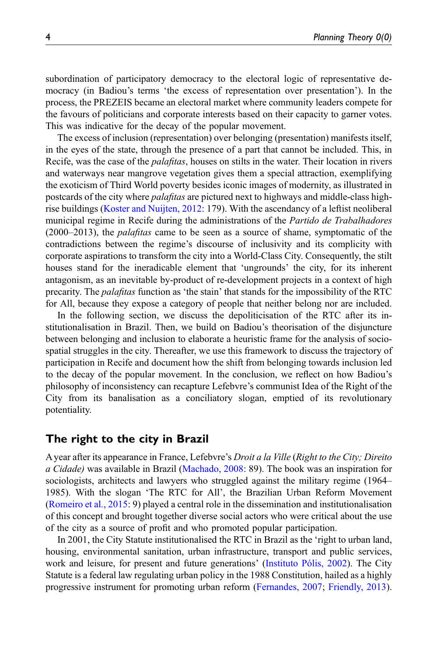subordination of participatory democracy to the electoral logic of representative democracy (in Badiou's terms 'the excess of representation over presentation'). In the process, the PREZEIS became an electoral market where community leaders compete for the favours of politicians and corporate interests based on their capacity to garner votes. This was indicative for the decay of the popular movement.

The excess of inclusion (representation) over belonging (presentation) manifests itself, in the eyes of the state, through the presence of a part that cannot be included. This, in Recife, was the case of the palafitas, houses on stilts in the water. Their location in rivers and waterways near mangrove vegetation gives them a special attraction, exemplifying the exoticism of Third World poverty besides iconic images of modernity, as illustrated in postcards of the city where palafitas are pictured next to highways and middle-class highrise buildings ([Koster and Nuijten, 2012:](#page-18-6) 179). With the ascendancy of a leftist neoliberal municipal regime in Recife during the administrations of the *Partido de Trabalhadores* (2000–2013), the palafitas came to be seen as a source of shame, symptomatic of the contradictions between the regime's discourse of inclusivity and its complicity with corporate aspirations to transform the city into a World-Class City. Consequently, the stilt houses stand for the ineradicable element that 'ungrounds' the city, for its inherent antagonism, as an inevitable by-product of re-development projects in a context of high precarity. The palafitas function as 'the stain' that stands for the impossibility of the RTC for All, because they expose a category of people that neither belong nor are included.

In the following section, we discuss the depoliticisation of the RTC after its institutionalisation in Brazil. Then, we build on Badiou's theorisation of the disjuncture between belonging and inclusion to elaborate a heuristic frame for the analysis of sociospatial struggles in the city. Thereafter, we use this framework to discuss the trajectory of participation in Recife and document how the shift from belonging towards inclusion led to the decay of the popular movement. In the conclusion, we reflect on how Badiou's philosophy of inconsistency can recapture Lefebvre's communist Idea of the Right of the City from its banalisation as a conciliatory slogan, emptied of its revolutionary potentiality.

# The right to the city in Brazil

A year after its appearance in France, Lefebvre's Droit a la Ville (Right to the City; Direito a Cidade) was available in Brazil [\(Machado, 2008](#page-18-7): 89). The book was an inspiration for sociologists, architects and lawyers who struggled against the military regime (1964– 1985). With the slogan 'The RTC for All', the Brazilian Urban Reform Movement [\(Romeiro et al., 2015](#page-19-3): 9) played a central role in the dissemination and institutionalisation of this concept and brought together diverse social actors who were critical about the use of the city as a source of profit and who promoted popular participation.

In 2001, the City Statute institutionalised the RTC in Brazil as the 'right to urban land, housing, environmental sanitation, urban infrastructure, transport and public services, work and leisure, for present and future generations' [\(Instituto Pólis, 2002\)](#page-18-8). The City Statute is a federal law regulating urban policy in the 1988 Constitution, hailed as a highly progressive instrument for promoting urban reform [\(Fernandes, 2007;](#page-18-3) [Friendly, 2013\)](#page-18-4).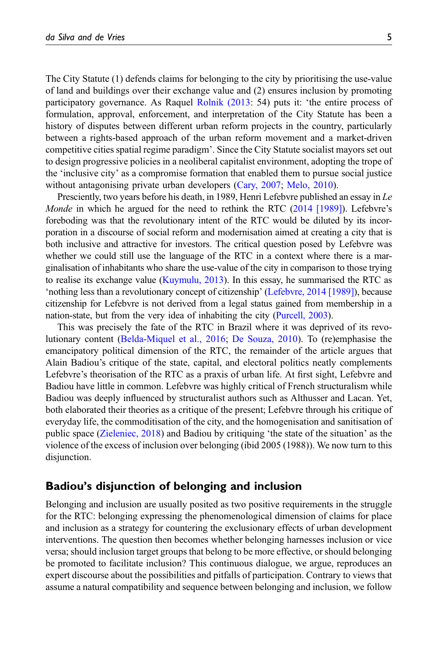The City Statute (1) defends claims for belonging to the city by prioritising the use-value of land and buildings over their exchange value and (2) ensures inclusion by promoting participatory governance. As Raquel [Rolnik \(2013](#page-19-4): 54) puts it: 'the entire process of formulation, approval, enforcement, and interpretation of the City Statute has been a history of disputes between different urban reform projects in the country, particularly between a rights-based approach of the urban reform movement and a market-driven competitive cities spatial regime paradigm'. Since the City Statute socialist mayors set out to design progressive policies in a neoliberal capitalist environment, adopting the trope of the 'inclusive city' as a compromise formation that enabled them to pursue social justice without antagonising private urban developers [\(Cary, 2007;](#page-17-7) [Melo, 2010\)](#page-19-5).

Presciently, two years before his death, in 1989, Henri Lefebvre published an essay in Le Monde in which he argued for the need to rethink the RTC [\(2014 \[1989\]\)](#page-18-9). Lefebvre's foreboding was that the revolutionary intent of the RTC would be diluted by its incorporation in a discourse of social reform and modernisation aimed at creating a city that is both inclusive and attractive for investors. The critical question posed by Lefebvre was whether we could still use the language of the RTC in a context where there is a marginalisation of inhabitants who share the use-value of the city in comparison to those trying to realise its exchange value [\(Kuymulu, 2013](#page-18-2)). In this essay, he summarised the RTC as 'nothing less than a revolutionary concept of citizenship' [\(Lefebvre, 2014 \[1989\]\)](#page-18-9), because citizenship for Lefebvre is not derived from a legal status gained from membership in a nation-state, but from the very idea of inhabiting the city ([Purcell, 2003](#page-19-6)).

This was precisely the fate of the RTC in Brazil where it was deprived of its revolutionary content ([Belda-Miquel et al., 2016;](#page-17-8) [De Souza, 2010\)](#page-17-3). To (re)emphasise the emancipatory political dimension of the RTC, the remainder of the article argues that Alain Badiou's critique of the state, capital, and electoral politics neatly complements Lefebvre's theorisation of the RTC as a praxis of urban life. At first sight, Lefebvre and Badiou have little in common. Lefebvre was highly critical of French structuralism while Badiou was deeply influenced by structuralist authors such as Althusser and Lacan. Yet, both elaborated their theories as a critique of the present; Lefebvre through his critique of everyday life, the commoditisation of the city, and the homogenisation and sanitisation of public space [\(Zieleniec, 2018\)](#page-19-7) and Badiou by critiquing 'the state of the situation' as the violence of the excess of inclusion over belonging (ibid 2005 (1988)). We now turn to this disjunction.

### Badiou's disjunction of belonging and inclusion

Belonging and inclusion are usually posited as two positive requirements in the struggle for the RTC: belonging expressing the phenomenological dimension of claims for place and inclusion as a strategy for countering the exclusionary effects of urban development interventions. The question then becomes whether belonging harnesses inclusion or vice versa; should inclusion target groups that belong to be more effective, or should belonging be promoted to facilitate inclusion? This continuous dialogue, we argue, reproduces an expert discourse about the possibilities and pitfalls of participation. Contrary to views that assume a natural compatibility and sequence between belonging and inclusion, we follow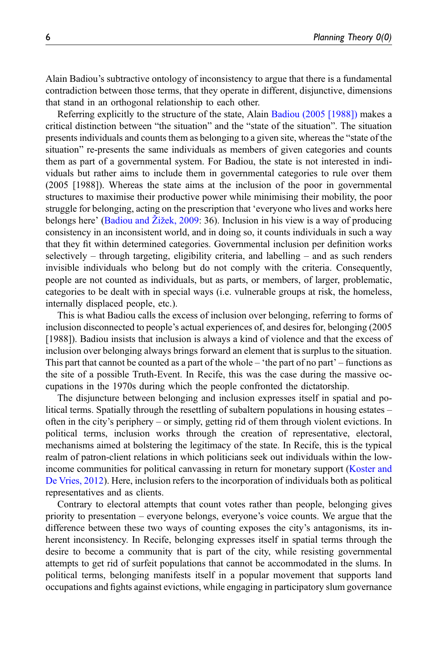Alain Badiou's subtractive ontology of inconsistency to argue that there is a fundamental contradiction between those terms, that they operate in different, disjunctive, dimensions that stand in an orthogonal relationship to each other.

Referring explicitly to the structure of the state, Alain [Badiou \(2005 \[1988\]\)](#page-17-4) makes a critical distinction between "the situation" and the "state of the situation". The situation presents individuals and counts them as belonging to a given site, whereas the "state of the situation" re-presents the same individuals as members of given categories and counts them as part of a governmental system. For Badiou, the state is not interested in individuals but rather aims to include them in governmental categories to rule over them (2005 [1988]). Whereas the state aims at the inclusion of the poor in governmental structures to maximise their productive power while minimising their mobility, the poor struggle for belonging, acting on the prescription that 'everyone who lives and works here belongs here' [\(Badiou and](#page-17-9)  $\overline{Z}$  $\overline{Z}$  $\overline{Z}$ i z[ek, 2009](#page-17-9): 36). Inclusion in his view is a way of producing consistency in an inconsistent world, and in doing so, it counts individuals in such a way that they fit within determined categories. Governmental inclusion per definition works selectively – through targeting, eligibility criteria, and labelling – and as such renders invisible individuals who belong but do not comply with the criteria. Consequently, people are not counted as individuals, but as parts, or members, of larger, problematic, categories to be dealt with in special ways (i.e. vulnerable groups at risk, the homeless, internally displaced people, etc.).

This is what Badiou calls the excess of inclusion over belonging, referring to forms of inclusion disconnected to people's actual experiences of, and desires for, belonging (2005 [1988]). Badiou insists that inclusion is always a kind of violence and that the excess of inclusion over belonging always brings forward an element that is surplus to the situation. This part that cannot be counted as a part of the whole – 'the part of no part' – functions as the site of a possible Truth-Event. In Recife, this was the case during the massive occupations in the 1970s during which the people confronted the dictatorship.

The disjuncture between belonging and inclusion expresses itself in spatial and political terms. Spatially through the resettling of subaltern populations in housing estates – often in the city's periphery – or simply, getting rid of them through violent evictions. In political terms, inclusion works through the creation of representative, electoral, mechanisms aimed at bolstering the legitimacy of the state. In Recife, this is the typical realm of patron-client relations in which politicians seek out individuals within the low-income communities for political canvassing in return for monetary support ([Koster and](#page-18-10) [De Vries, 2012\)](#page-18-10). Here, inclusion refers to the incorporation of individuals both as political representatives and as clients.

Contrary to electoral attempts that count votes rather than people, belonging gives priority to presentation – everyone belongs, everyone's voice counts. We argue that the difference between these two ways of counting exposes the city's antagonisms, its inherent inconsistency. In Recife, belonging expresses itself in spatial terms through the desire to become a community that is part of the city, while resisting governmental attempts to get rid of surfeit populations that cannot be accommodated in the slums. In political terms, belonging manifests itself in a popular movement that supports land occupations and fights against evictions, while engaging in participatory slum governance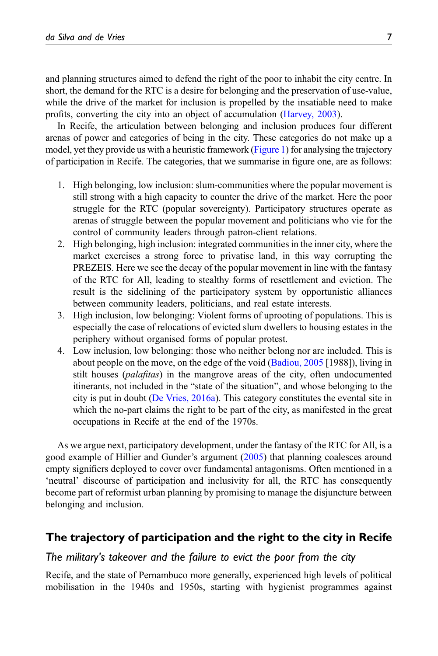and planning structures aimed to defend the right of the poor to inhabit the city centre. In short, the demand for the RTC is a desire for belonging and the preservation of use-value, while the drive of the market for inclusion is propelled by the insatiable need to make profits, converting the city into an object of accumulation [\(Harvey, 2003\)](#page-18-11).

In Recife, the articulation between belonging and inclusion produces four different arenas of power and categories of being in the city. These categories do not make up a model, yet they provide us with a heuristic framework ([Figure 1\)](#page-2-0) for analysing the trajectory of participation in Recife. The categories, that we summarise in figure one, are as follows:

- 1. High belonging, low inclusion: slum-communities where the popular movement is still strong with a high capacity to counter the drive of the market. Here the poor struggle for the RTC (popular sovereignty). Participatory structures operate as arenas of struggle between the popular movement and politicians who vie for the control of community leaders through patron-client relations.
- 2. High belonging, high inclusion: integrated communities in the inner city, where the market exercises a strong force to privatise land, in this way corrupting the PREZEIS. Here we see the decay of the popular movement in line with the fantasy of the RTC for All, leading to stealthy forms of resettlement and eviction. The result is the sidelining of the participatory system by opportunistic alliances between community leaders, politicians, and real estate interests.
- 3. High inclusion, low belonging: Violent forms of uprooting of populations. This is especially the case of relocations of evicted slum dwellers to housing estates in the periphery without organised forms of popular protest.
- 4. Low inclusion, low belonging: those who neither belong nor are included. This is about people on the move, on the edge of the void ([Badiou, 2005](#page-17-4) [1988]), living in stilt houses (*palafitas*) in the mangrove areas of the city, often undocumented itinerants, not included in the "state of the situation", and whose belonging to the city is put in doubt ([De Vries, 2016a\)](#page-17-1). This category constitutes the evental site in which the no-part claims the right to be part of the city, as manifested in the great occupations in Recife at the end of the 1970s.

As we argue next, participatory development, under the fantasy of the RTC for All, is a good example of Hillier and Gunder's argument [\(2005](#page-18-12)) that planning coalesces around empty signifiers deployed to cover over fundamental antagonisms. Often mentioned in a 'neutral' discourse of participation and inclusivity for all, the RTC has consequently become part of reformist urban planning by promising to manage the disjuncture between belonging and inclusion.

# The trajectory of participation and the right to the city in Recife

#### The military's takeover and the failure to evict the poor from the city

Recife, and the state of Pernambuco more generally, experienced high levels of political mobilisation in the 1940s and 1950s, starting with hygienist programmes against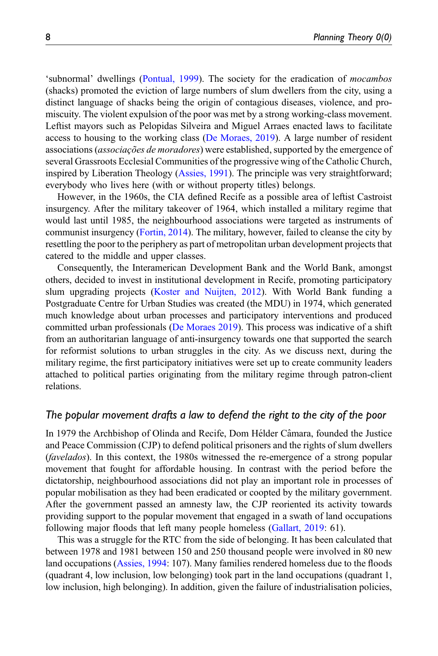'subnormal' dwellings [\(Pontual, 1999\)](#page-19-8). The society for the eradication of mocambos (shacks) promoted the eviction of large numbers of slum dwellers from the city, using a distinct language of shacks being the origin of contagious diseases, violence, and promiscuity. The violent expulsion of the poor was met by a strong working-class movement. Leftist mayors such as Pelopidas Silveira and Miguel Arraes enacted laws to facilitate access to housing to the working class ([De Moraes, 2019](#page-17-10)). A large number of resident associations (associações de moradores) were established, supported by the emergence of several Grassroots Ecclesial Communities of the progressive wing of the Catholic Church, inspired by Liberation Theology [\(Assies, 1991](#page-17-11)). The principle was very straightforward; everybody who lives here (with or without property titles) belongs.

However, in the 1960s, the CIA defined Recife as a possible area of leftist Castroist insurgency. After the military takeover of 1964, which installed a military regime that would last until 1985, the neighbourhood associations were targeted as instruments of communist insurgency [\(Fortin, 2014\)](#page-18-5). The military, however, failed to cleanse the city by resettling the poor to the periphery as part of metropolitan urban development projects that catered to the middle and upper classes.

Consequently, the Interamerican Development Bank and the World Bank, amongst others, decided to invest in institutional development in Recife, promoting participatory slum upgrading projects ([Koster and Nuijten, 2012](#page-18-6)). With World Bank funding a Postgraduate Centre for Urban Studies was created (the MDU) in 1974, which generated much knowledge about urban processes and participatory interventions and produced committed urban professionals [\(De Moraes 2019](#page-17-10)). This process was indicative of a shift from an authoritarian language of anti-insurgency towards one that supported the search for reformist solutions to urban struggles in the city. As we discuss next, during the military regime, the first participatory initiatives were set up to create community leaders attached to political parties originating from the military regime through patron-client relations.

#### The popular movement drafts a law to defend the right to the city of the poor

In 1979 the Archbishop of Olinda and Recife, Dom Hélder Câmara, founded the Justice and Peace Commission (CJP) to defend political prisoners and the rights of slum dwellers (favelados). In this context, the 1980s witnessed the re-emergence of a strong popular movement that fought for affordable housing. In contrast with the period before the dictatorship, neighbourhood associations did not play an important role in processes of popular mobilisation as they had been eradicated or coopted by the military government. After the government passed an amnesty law, the CJP reoriented its activity towards providing support to the popular movement that engaged in a swath of land occupations following major floods that left many people homeless ([Gallart, 2019:](#page-18-13) 61).

This was a struggle for the RTC from the side of belonging. It has been calculated that between 1978 and 1981 between 150 and 250 thousand people were involved in 80 new land occupations ([Assies, 1994](#page-17-12): 107). Many families rendered homeless due to the floods (quadrant 4, low inclusion, low belonging) took part in the land occupations (quadrant 1, low inclusion, high belonging). In addition, given the failure of industrialisation policies,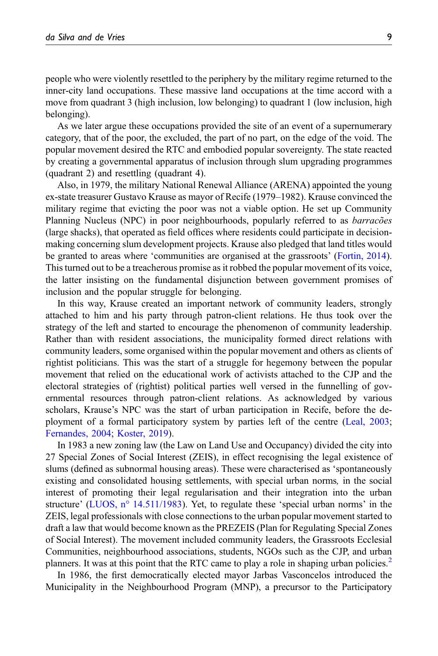people who were violently resettled to the periphery by the military regime returned to the inner-city land occupations. These massive land occupations at the time accord with a move from quadrant 3 (high inclusion, low belonging) to quadrant 1 (low inclusion, high belonging).

As we later argue these occupations provided the site of an event of a supernumerary category, that of the poor, the excluded, the part of no part, on the edge of the void. The popular movement desired the RTC and embodied popular sovereignty. The state reacted by creating a governmental apparatus of inclusion through slum upgrading programmes (quadrant 2) and resettling (quadrant 4).

Also, in 1979, the military National Renewal Alliance (ARENA) appointed the young ex-state treasurer Gustavo Krause as mayor of Recife (1979–1982). Krause convinced the military regime that evicting the poor was not a viable option. He set up Community Planning Nucleus (NPC) in poor neighbourhoods, popularly referred to as *barracões* (large shacks), that operated as field offices where residents could participate in decisionmaking concerning slum development projects. Krause also pledged that land titles would be granted to areas where 'communities are organised at the grassroots' ([Fortin, 2014\)](#page-18-5). This turned out to be a treacherous promise as it robbed the popular movement of its voice, the latter insisting on the fundamental disjunction between government promises of inclusion and the popular struggle for belonging.

In this way, Krause created an important network of community leaders, strongly attached to him and his party through patron-client relations. He thus took over the strategy of the left and started to encourage the phenomenon of community leadership. Rather than with resident associations, the municipality formed direct relations with community leaders, some organised within the popular movement and others as clients of rightist politicians. This was the start of a struggle for hegemony between the popular movement that relied on the educational work of activists attached to the CJP and the electoral strategies of (rightist) political parties well versed in the funnelling of governmental resources through patron-client relations. As acknowledged by various scholars, Krause's NPC was the start of urban participation in Recife, before the deployment of a formal participatory system by parties left of the centre [\(Leal, 2003;](#page-18-14) [Fernandes, 2004](#page-17-13); [Koster, 2019](#page-18-15)).

In 1983 a new zoning law (the Law on Land Use and Occupancy) divided the city into 27 Special Zones of Social Interest (ZEIS), in effect recognising the legal existence of slums (defined as subnormal housing areas). These were characterised as 'spontaneously existing and consolidated housing settlements, with special urban norms, in the social interest of promoting their legal regularisation and their integration into the urban structure' (LUOS,  $n^{\circ}$  14.511/1983). Yet, to regulate these 'special urban norms' in the ZEIS, legal professionals with close connections to the urban popular movement started to draft a law that would become known as the PREZEIS (Plan for Regulating Special Zones of Social Interest). The movement included community leaders, the Grassroots Ecclesial Communities, neighbourhood associations, students, NGOs such as the CJP, and urban planners. It was at this point that the RTC came to play a role in shaping urban policies.<sup>[2](#page-16-1)</sup>

In 1986, the first democratically elected mayor Jarbas Vasconcelos introduced the Municipality in the Neighbourhood Program (MNP), a precursor to the Participatory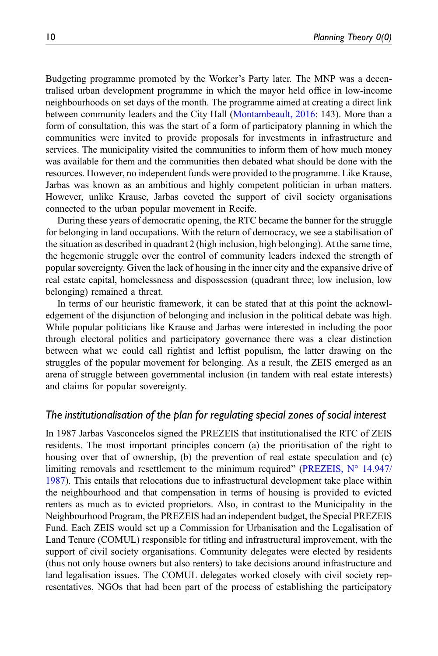Budgeting programme promoted by the Worker's Party later. The MNP was a decentralised urban development programme in which the mayor held office in low-income neighbourhoods on set days of the month. The programme aimed at creating a direct link between community leaders and the City Hall ([Montambeault, 2016:](#page-19-9) 143). More than a form of consultation, this was the start of a form of participatory planning in which the communities were invited to provide proposals for investments in infrastructure and services. The municipality visited the communities to inform them of how much money was available for them and the communities then debated what should be done with the resources. However, no independent funds were provided to the programme. Like Krause, Jarbas was known as an ambitious and highly competent politician in urban matters. However, unlike Krause, Jarbas coveted the support of civil society organisations connected to the urban popular movement in Recife.

During these years of democratic opening, the RTC became the banner for the struggle for belonging in land occupations. With the return of democracy, we see a stabilisation of the situation as described in quadrant 2 (high inclusion, high belonging). At the same time, the hegemonic struggle over the control of community leaders indexed the strength of popular sovereignty. Given the lack of housing in the inner city and the expansive drive of real estate capital, homelessness and dispossession (quadrant three; low inclusion, low belonging) remained a threat.

In terms of our heuristic framework, it can be stated that at this point the acknowledgement of the disjunction of belonging and inclusion in the political debate was high. While popular politicians like Krause and Jarbas were interested in including the poor through electoral politics and participatory governance there was a clear distinction between what we could call rightist and leftist populism, the latter drawing on the struggles of the popular movement for belonging. As a result, the ZEIS emerged as an arena of struggle between governmental inclusion (in tandem with real estate interests) and claims for popular sovereignty.

#### The institutionalisation of the plan for regulating special zones of social interest

In 1987 Jarbas Vasconcelos signed the PREZEIS that institutionalised the RTC of ZEIS residents. The most important principles concern (a) the prioritisation of the right to housing over that of ownership, (b) the prevention of real estate speculation and (c) limiting removals and resettlement to the minimum required" (PREZEIS,  $N^{\circ}$  14.947/ [1987\)](#page-19-10). This entails that relocations due to infrastructural development take place within the neighbourhood and that compensation in terms of housing is provided to evicted renters as much as to evicted proprietors. Also, in contrast to the Municipality in the Neighbourhood Program, the PREZEIS had an independent budget, the Special PREZEIS Fund. Each ZEIS would set up a Commission for Urbanisation and the Legalisation of Land Tenure (COMUL) responsible for titling and infrastructural improvement, with the support of civil society organisations. Community delegates were elected by residents (thus not only house owners but also renters) to take decisions around infrastructure and land legalisation issues. The COMUL delegates worked closely with civil society representatives, NGOs that had been part of the process of establishing the participatory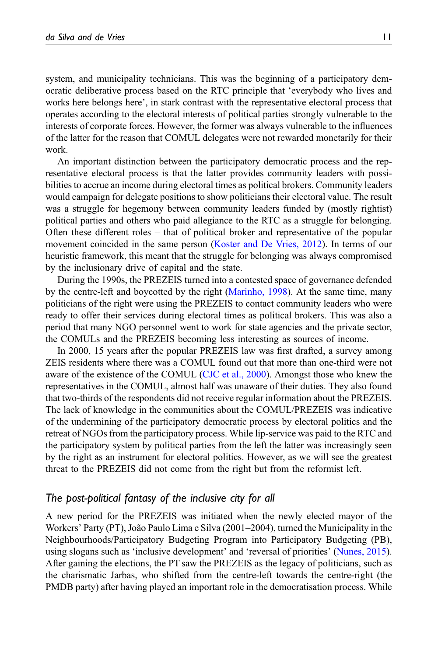system, and municipality technicians. This was the beginning of a participatory democratic deliberative process based on the RTC principle that 'everybody who lives and works here belongs here', in stark contrast with the representative electoral process that operates according to the electoral interests of political parties strongly vulnerable to the interests of corporate forces. However, the former was always vulnerable to the influences of the latter for the reason that COMUL delegates were not rewarded monetarily for their work.

An important distinction between the participatory democratic process and the representative electoral process is that the latter provides community leaders with possibilities to accrue an income during electoral times as political brokers. Community leaders would campaign for delegate positions to show politicians their electoral value. The result was a struggle for hegemony between community leaders funded by (mostly rightist) political parties and others who paid allegiance to the RTC as a struggle for belonging. Often these different roles – that of political broker and representative of the popular movement coincided in the same person [\(Koster and De Vries, 2012](#page-18-10)). In terms of our heuristic framework, this meant that the struggle for belonging was always compromised by the inclusionary drive of capital and the state.

During the 1990s, the PREZEIS turned into a contested space of governance defended by the centre-left and boycotted by the right ([Marinho, 1998](#page-18-17)). At the same time, many politicians of the right were using the PREZEIS to contact community leaders who were ready to offer their services during electoral times as political brokers. This was also a period that many NGO personnel went to work for state agencies and the private sector, the COMULs and the PREZEIS becoming less interesting as sources of income.

In 2000, 15 years after the popular PREZEIS law was first drafted, a survey among ZEIS residents where there was a COMUL found out that more than one-third were not aware of the existence of the COMUL ([CJC et al., 2000](#page-17-14)). Amongst those who knew the representatives in the COMUL, almost half was unaware of their duties. They also found that two-thirds of the respondents did not receive regular information about the PREZEIS. The lack of knowledge in the communities about the COMUL/PREZEIS was indicative of the undermining of the participatory democratic process by electoral politics and the retreat of NGOs from the participatory process. While lip-service was paid to the RTC and the participatory system by political parties from the left the latter was increasingly seen by the right as an instrument for electoral politics. However, as we will see the greatest threat to the PREZEIS did not come from the right but from the reformist left.

#### The post-political fantasy of the inclusive city for all

A new period for the PREZEIS was initiated when the newly elected mayor of the Workers' Party (PT), João Paulo Lima e Silva (2001–2004), turned the Municipality in the Neighbourhoods/Participatory Budgeting Program into Participatory Budgeting (PB), using slogans such as 'inclusive development' and 'reversal of priorities' [\(Nunes, 2015\)](#page-19-11). After gaining the elections, the PT saw the PREZEIS as the legacy of politicians, such as the charismatic Jarbas, who shifted from the centre-left towards the centre-right (the PMDB party) after having played an important role in the democratisation process. While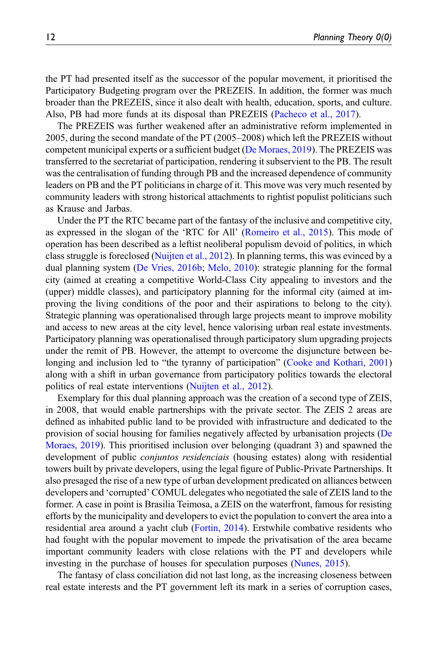the PT had presented itself as the successor of the popular movement, it prioritised the Participatory Budgeting program over the PREZEIS. In addition, the former was much broader than the PREZEIS, since it also dealt with health, education, sports, and culture. Also, PB had more funds at its disposal than PREZEIS [\(Pacheco et al., 2017](#page-19-12)).

The PREZEIS was further weakened after an administrative reform implemented in 2005, during the second mandate of the PT (2005–2008) which left the PREZEIS without competent municipal experts or a sufficient budget ([De Moraes, 2019](#page-17-10)). The PREZEIS was transferred to the secretariat of participation, rendering it subservient to the PB. The result was the centralisation of funding through PB and the increased dependence of community leaders on PB and the PT politicians in charge of it. This move was very much resented by community leaders with strong historical attachments to rightist populist politicians such as Krause and Jarbas.

Under the PT the RTC became part of the fantasy of the inclusive and competitive city, as expressed in the slogan of the 'RTC for All' [\(Romeiro et al., 2015\)](#page-19-3). This mode of operation has been described as a leftist neoliberal populism devoid of politics, in which class struggle is foreclosed [\(Nuijten et al., 2012](#page-19-13)). In planning terms, this was evinced by a dual planning system [\(De Vries, 2016b](#page-17-15); [Melo, 2010\)](#page-19-5): strategic planning for the formal city (aimed at creating a competitive World-Class City appealing to investors and the (upper) middle classes), and participatory planning for the informal city (aimed at improving the living conditions of the poor and their aspirations to belong to the city). Strategic planning was operationalised through large projects meant to improve mobility and access to new areas at the city level, hence valorising urban real estate investments. Participatory planning was operationalised through participatory slum upgrading projects under the remit of PB. However, the attempt to overcome the disjuncture between belonging and inclusion led to "the tyranny of participation" ([Cooke and Kothari, 2001\)](#page-17-16) along with a shift in urban governance from participatory politics towards the electoral politics of real estate interventions ([Nuijten et al., 2012](#page-19-13)).

Exemplary for this dual planning approach was the creation of a second type of ZEIS, in 2008, that would enable partnerships with the private sector. The ZEIS 2 areas are defined as inhabited public land to be provided with infrastructure and dedicated to the provision of social housing for families negatively affected by urbanisation projects ([De](#page-17-10) [Moraes, 2019](#page-17-10)). This prioritised inclusion over belonging (quadrant 3) and spawned the development of public *conjuntos residenciais* (housing estates) along with residential towers built by private developers, using the legal figure of Public-Private Partnerships. It also presaged the rise of a new type of urban development predicated on alliances between developers and 'corrupted' COMUL delegates who negotiated the sale of ZEIS land to the former. A case in point is Brasilia Teimosa, a ZEIS on the waterfront, famous for resisting efforts by the municipality and developers to evict the population to convert the area into a residential area around a yacht club [\(Fortin, 2014](#page-18-5)). Erstwhile combative residents who had fought with the popular movement to impede the privatisation of the area became important community leaders with close relations with the PT and developers while investing in the purchase of houses for speculation purposes [\(Nunes, 2015](#page-19-11)).

The fantasy of class conciliation did not last long, as the increasing closeness between real estate interests and the PT government left its mark in a series of corruption cases,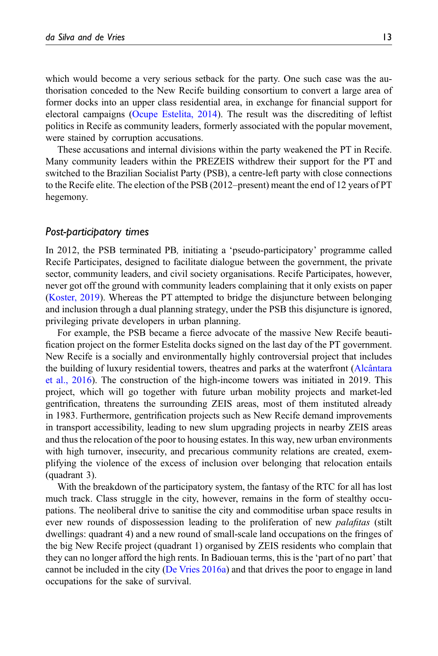which would become a very serious setback for the party. One such case was the authorisation conceded to the New Recife building consortium to convert a large area of former docks into an upper class residential area, in exchange for financial support for electoral campaigns ([Ocupe Estelita, 2014\)](#page-19-14). The result was the discrediting of leftist politics in Recife as community leaders, formerly associated with the popular movement, were stained by corruption accusations.

These accusations and internal divisions within the party weakened the PT in Recife. Many community leaders within the PREZEIS withdrew their support for the PT and switched to the Brazilian Socialist Party (PSB), a centre-left party with close connections to the Recife elite. The election of the PSB (2012–present) meant the end of 12 years of PT hegemony.

#### Post-participatory times

In 2012, the PSB terminated PB, initiating a 'pseudo-participatory' programme called Recife Participates, designed to facilitate dialogue between the government, the private sector, community leaders, and civil society organisations. Recife Participates, however, never got off the ground with community leaders complaining that it only exists on paper [\(Koster, 2019\)](#page-18-15). Whereas the PT attempted to bridge the disjuncture between belonging and inclusion through a dual planning strategy, under the PSB this disjuncture is ignored, privileging private developers in urban planning.

For example, the PSB became a fierce advocate of the massive New Recife beautification project on the former Estelita docks signed on the last day of the PT government. New Recife is a socially and environmentally highly controversial project that includes the building of luxury residential towers, theatres and parks at the waterfront ([Alc](#page-17-17)â[ntara](#page-17-17) [et al., 2016\)](#page-17-17). The construction of the high-income towers was initiated in 2019. This project, which will go together with future urban mobility projects and market-led gentrification, threatens the surrounding ZEIS areas, most of them instituted already in 1983. Furthermore, gentrification projects such as New Recife demand improvements in transport accessibility, leading to new slum upgrading projects in nearby ZEIS areas and thus the relocation of the poor to housing estates. In this way, new urban environments with high turnover, insecurity, and precarious community relations are created, exemplifying the violence of the excess of inclusion over belonging that relocation entails (quadrant 3).

With the breakdown of the participatory system, the fantasy of the RTC for all has lost much track. Class struggle in the city, however, remains in the form of stealthy occupations. The neoliberal drive to sanitise the city and commoditise urban space results in ever new rounds of dispossession leading to the proliferation of new *palafitas* (stilt dwellings: quadrant 4) and a new round of small-scale land occupations on the fringes of the big New Recife project (quadrant 1) organised by ZEIS residents who complain that they can no longer afford the high rents. In Badiouan terms, this is the 'part of no part' that cannot be included in the city [\(De Vries 2016a](#page-17-1)) and that drives the poor to engage in land occupations for the sake of survival.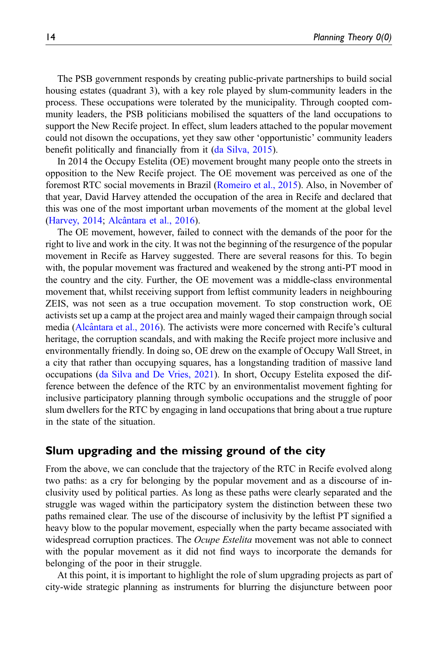The PSB government responds by creating public-private partnerships to build social housing estates (quadrant 3), with a key role played by slum-community leaders in the process. These occupations were tolerated by the municipality. Through coopted community leaders, the PSB politicians mobilised the squatters of the land occupations to support the New Recife project. In effect, slum leaders attached to the popular movement could not disown the occupations, yet they saw other 'opportunistic' community leaders benefit politically and financially from it ([da Silva, 2015](#page-17-18)).

In 2014 the Occupy Estelita (OE) movement brought many people onto the streets in opposition to the New Recife project. The OE movement was perceived as one of the foremost RTC social movements in Brazil [\(Romeiro et al., 2015\)](#page-19-3). Also, in November of that year, David Harvey attended the occupation of the area in Recife and declared that this was one of the most important urban movements of the moment at the global level [\(Harvey, 2014;](#page-18-18) Alcântara et al., 2016).

The OE movement, however, failed to connect with the demands of the poor for the right to live and work in the city. It was not the beginning of the resurgence of the popular movement in Recife as Harvey suggested. There are several reasons for this. To begin with, the popular movement was fractured and weakened by the strong anti-PT mood in the country and the city. Further, the OE movement was a middle-class environmental movement that, whilst receiving support from leftist community leaders in neighbouring ZEIS, was not seen as a true occupation movement. To stop construction work, OE activists set up a camp at the project area and mainly waged their campaign through social media [\(Alc](#page-17-17)â[ntara et al., 2016](#page-17-17)). The activists were more concerned with Recife's cultural heritage, the corruption scandals, and with making the Recife project more inclusive and environmentally friendly. In doing so, OE drew on the example of Occupy Wall Street, in a city that rather than occupying squares, has a longstanding tradition of massive land occupations [\(da Silva and De Vries, 2021](#page-17-19)). In short, Occupy Estelita exposed the difference between the defence of the RTC by an environmentalist movement fighting for inclusive participatory planning through symbolic occupations and the struggle of poor slum dwellers for the RTC by engaging in land occupations that bring about a true rupture in the state of the situation.

### Slum upgrading and the missing ground of the city

From the above, we can conclude that the trajectory of the RTC in Recife evolved along two paths: as a cry for belonging by the popular movement and as a discourse of inclusivity used by political parties. As long as these paths were clearly separated and the struggle was waged within the participatory system the distinction between these two paths remained clear. The use of the discourse of inclusivity by the leftist PT signified a heavy blow to the popular movement, especially when the party became associated with widespread corruption practices. The *Ocupe Estelita* movement was not able to connect with the popular movement as it did not find ways to incorporate the demands for belonging of the poor in their struggle.

At this point, it is important to highlight the role of slum upgrading projects as part of city-wide strategic planning as instruments for blurring the disjuncture between poor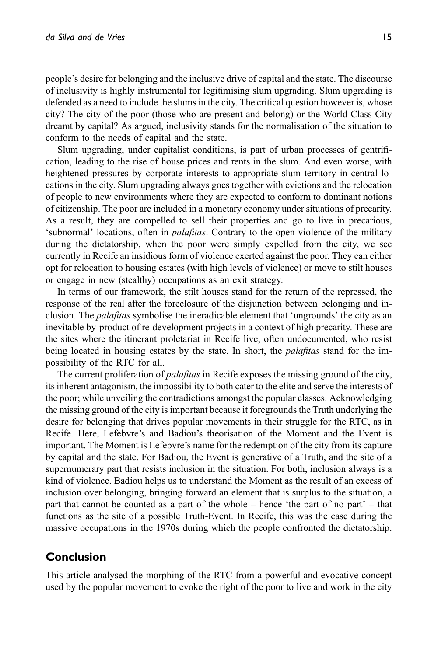people's desire for belonging and the inclusive drive of capital and the state. The discourse of inclusivity is highly instrumental for legitimising slum upgrading. Slum upgrading is defended as a need to include the slums in the city. The critical question however is, whose city? The city of the poor (those who are present and belong) or the World-Class City dreamt by capital? As argued, inclusivity stands for the normalisation of the situation to conform to the needs of capital and the state.

Slum upgrading, under capitalist conditions, is part of urban processes of gentrification, leading to the rise of house prices and rents in the slum. And even worse, with heightened pressures by corporate interests to appropriate slum territory in central locations in the city. Slum upgrading always goes together with evictions and the relocation of people to new environments where they are expected to conform to dominant notions of citizenship. The poor are included in a monetary economy under situations of precarity. As a result, they are compelled to sell their properties and go to live in precarious, 'subnormal' locations, often in palafitas. Contrary to the open violence of the military during the dictatorship, when the poor were simply expelled from the city, we see currently in Recife an insidious form of violence exerted against the poor. They can either opt for relocation to housing estates (with high levels of violence) or move to stilt houses or engage in new (stealthy) occupations as an exit strategy.

In terms of our framework, the stilt houses stand for the return of the repressed, the response of the real after the foreclosure of the disjunction between belonging and inclusion. The *palafitas* symbolise the ineradicable element that 'ungrounds' the city as an inevitable by-product of re-development projects in a context of high precarity. These are the sites where the itinerant proletariat in Recife live, often undocumented, who resist being located in housing estates by the state. In short, the *palafitas* stand for the impossibility of the RTC for all.

The current proliferation of *palafitas* in Recife exposes the missing ground of the city, its inherent antagonism, the impossibility to both cater to the elite and serve the interests of the poor; while unveiling the contradictions amongst the popular classes. Acknowledging the missing ground of the city is important because it foregrounds the Truth underlying the desire for belonging that drives popular movements in their struggle for the RTC, as in Recife. Here, Lefebvre's and Badiou's theorisation of the Moment and the Event is important. The Moment is Lefebvre's name for the redemption of the city from its capture by capital and the state. For Badiou, the Event is generative of a Truth, and the site of a supernumerary part that resists inclusion in the situation. For both, inclusion always is a kind of violence. Badiou helps us to understand the Moment as the result of an excess of inclusion over belonging, bringing forward an element that is surplus to the situation, a part that cannot be counted as a part of the whole – hence 'the part of no part' – that functions as the site of a possible Truth-Event. In Recife, this was the case during the massive occupations in the 1970s during which the people confronted the dictatorship.

# Conclusion

This article analysed the morphing of the RTC from a powerful and evocative concept used by the popular movement to evoke the right of the poor to live and work in the city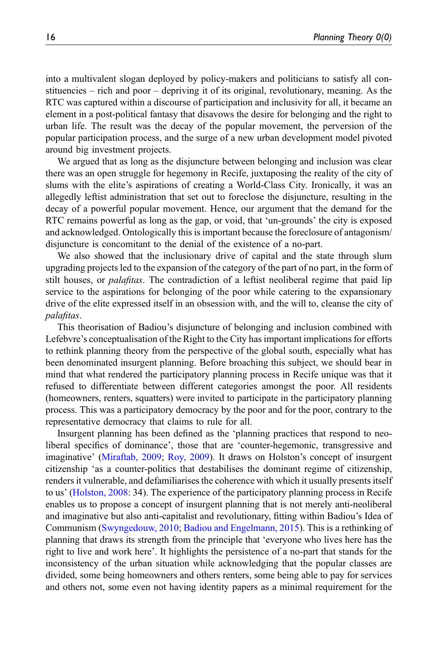into a multivalent slogan deployed by policy-makers and politicians to satisfy all constituencies – rich and poor – depriving it of its original, revolutionary, meaning. As the RTC was captured within a discourse of participation and inclusivity for all, it became an element in a post-political fantasy that disavows the desire for belonging and the right to urban life. The result was the decay of the popular movement, the perversion of the popular participation process, and the surge of a new urban development model pivoted around big investment projects.

We argued that as long as the disjuncture between belonging and inclusion was clear there was an open struggle for hegemony in Recife, juxtaposing the reality of the city of slums with the elite's aspirations of creating a World-Class City. Ironically, it was an allegedly leftist administration that set out to foreclose the disjuncture, resulting in the decay of a powerful popular movement. Hence, our argument that the demand for the RTC remains powerful as long as the gap, or void, that 'un-grounds' the city is exposed and acknowledged. Ontologically this is important because the foreclosure of antagonism/ disjuncture is concomitant to the denial of the existence of a no-part.

We also showed that the inclusionary drive of capital and the state through slum upgrading projects led to the expansion of the category of the part of no part, in the form of stilt houses, or *palafitas*. The contradiction of a leftist neoliberal regime that paid lip service to the aspirations for belonging of the poor while catering to the expansionary drive of the elite expressed itself in an obsession with, and the will to, cleanse the city of palafitas.

This theorisation of Badiou's disjuncture of belonging and inclusion combined with Lefebvre's conceptualisation of the Right to the City has important implications for efforts to rethink planning theory from the perspective of the global south, especially what has been denominated insurgent planning. Before broaching this subject, we should bear in mind that what rendered the participatory planning process in Recife unique was that it refused to differentiate between different categories amongst the poor. All residents (homeowners, renters, squatters) were invited to participate in the participatory planning process. This was a participatory democracy by the poor and for the poor, contrary to the representative democracy that claims to rule for all.

Insurgent planning has been defined as the 'planning practices that respond to neoliberal specifics of dominance', those that are 'counter-hegemonic, transgressive and imaginative' ([Miraftab, 2009](#page-19-15); [Roy, 2009\)](#page-19-16). It draws on Holston's concept of insurgent citizenship 'as a counter-politics that destabilises the dominant regime of citizenship, renders it vulnerable, and defamiliarises the coherence with which it usually presents itself to us' [\(Holston, 2008](#page-18-19): 34). The experience of the participatory planning process in Recife enables us to propose a concept of insurgent planning that is not merely anti-neoliberal and imaginative but also anti-capitalist and revolutionary, fitting within Badiou's Idea of Communism ([Swyngedouw, 2010;](#page-19-17) [Badiou and Engelmann, 2015\)](#page-17-0). This is a rethinking of planning that draws its strength from the principle that 'everyone who lives here has the right to live and work here'. It highlights the persistence of a no-part that stands for the inconsistency of the urban situation while acknowledging that the popular classes are divided, some being homeowners and others renters, some being able to pay for services and others not, some even not having identity papers as a minimal requirement for the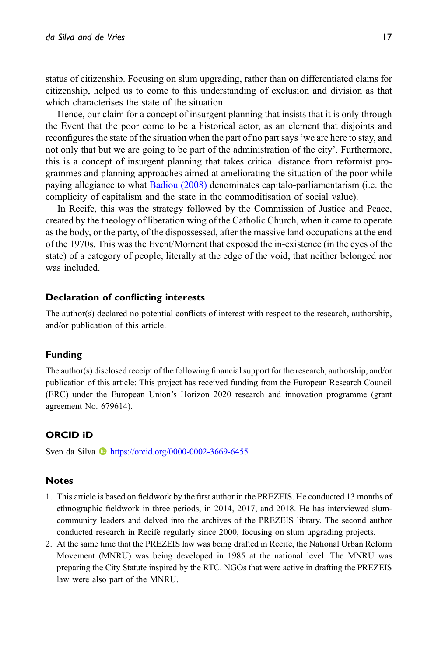status of citizenship. Focusing on slum upgrading, rather than on differentiated clams for citizenship, helped us to come to this understanding of exclusion and division as that which characterises the state of the situation.

Hence, our claim for a concept of insurgent planning that insists that it is only through the Event that the poor come to be a historical actor, as an element that disjoints and reconfigures the state of the situation when the part of no part says 'we are here to stay, and not only that but we are going to be part of the administration of the city'. Furthermore, this is a concept of insurgent planning that takes critical distance from reformist programmes and planning approaches aimed at ameliorating the situation of the poor while paying allegiance to what [Badiou \(2008\)](#page-17-20) denominates capitalo-parliamentarism (i.e. the complicity of capitalism and the state in the commoditisation of social value).

In Recife, this was the strategy followed by the Commission of Justice and Peace, created by the theology of liberation wing of the Catholic Church, when it came to operate as the body, or the party, of the dispossessed, after the massive land occupations at the end of the 1970s. This was the Event/Moment that exposed the in-existence (in the eyes of the state) of a category of people, literally at the edge of the void, that neither belonged nor was included.

#### Declaration of conflicting interests

The author(s) declared no potential conflicts of interest with respect to the research, authorship, and/or publication of this article.

#### Funding

The author(s) disclosed receipt of the following financial support for the research, authorship, and/or publication of this article: This project has received funding from the European Research Council (ERC) under the European Union's Horizon 2020 research and innovation programme (grant agreement No. 679614).

#### ORCID iD

Sven da Silva **I** <https://orcid.org/0000-0002-3669-6455>

#### <span id="page-16-0"></span>**Notes**

- <span id="page-16-1"></span>1. This article is based on fieldwork by the first author in the PREZEIS. He conducted 13 months of ethnographic fieldwork in three periods, in 2014, 2017, and 2018. He has interviewed slumcommunity leaders and delved into the archives of the PREZEIS library. The second author conducted research in Recife regularly since 2000, focusing on slum upgrading projects.
- 2. At the same time that the PREZEIS law was being drafted in Recife, the National Urban Reform Movement (MNRU) was being developed in 1985 at the national level. The MNRU was preparing the City Statute inspired by the RTC. NGOs that were active in drafting the PREZEIS law were also part of the MNRU.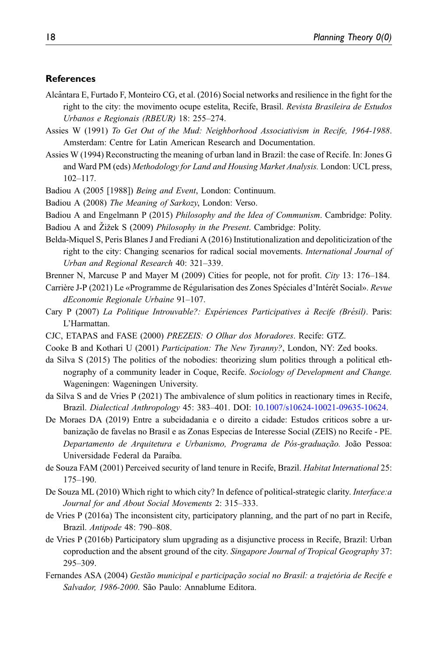#### **References**

- <span id="page-17-17"></span>Alcântara E, Furtado F, Monteiro CG, et al.  $(2016)$  Social networks and resilience in the fight for the right to the city: the movimento ocupe estelita, Recife, Brasil. Revista Brasileira de Estudos Urbanos e Regionais (RBEUR) 18: 255–274.
- <span id="page-17-11"></span>Assies W (1991) To Get Out of the Mud: Neighborhood Associativism in Recife, 1964-1988. Amsterdam: Centre for Latin American Research and Documentation.
- <span id="page-17-12"></span>Assies W (1994) Reconstructing the meaning of urban land in Brazil: the case of Recife. In: Jones G and Ward PM (eds) Methodology for Land and Housing Market Analysis. London: UCL press, 102–117.
- <span id="page-17-20"></span><span id="page-17-4"></span>Badiou A (2005 [1988]) Being and Event, London: Continuum.
- <span id="page-17-0"></span>Badiou A (2008) The Meaning of Sarkozy, London: Verso.
- <span id="page-17-9"></span>Badiou A and Engelmann P (2015) Philosophy and the Idea of Communism. Cambridge: Polity. Badiou A and Žižek S (2009) *Philosophy in the Present*. Cambridge: Polity.
- <span id="page-17-8"></span>Belda-Miquel S, Peris Blanes J and Frediani A (2016) Institutionalization and depoliticization of the right to the city: Changing scenarios for radical social movements. International Journal of Urban and Regional Research 40: 321–339.
- <span id="page-17-5"></span><span id="page-17-2"></span>Brenner N, Marcuse P and Mayer M (2009) Cities for people, not for profit. *City* 13: 176–184.
- Carrière J-P (2021) Le «Programme de Régularisation des Zones Spéciales d'Intérêt Social». Revue dEconomie Regionale Urbaine 91–107.
- <span id="page-17-7"></span>Cary P (2007) La Politique Introuvable?: Expériences Participatives à Recife (Brésil). Paris: L'Harmattan.
- <span id="page-17-16"></span><span id="page-17-14"></span>CJC, ETAPAS and FASE (2000) PREZEIS: O Olhar dos Moradores. Recife: GTZ.
- <span id="page-17-18"></span>Cooke B and Kothari U (2001) Participation: The New Tyranny?, London, NY: Zed books.
- da Silva S (2015) The politics of the nobodies: theorizing slum politics through a political ethnography of a community leader in Coque, Recife. Sociology of Development and Change. Wageningen: Wageningen University.
- <span id="page-17-19"></span>da Silva S and de Vries P (2021) The ambivalence of slum politics in reactionary times in Recife, Brazil. Dialectical Anthropology 45: 383–401. DOI: [10.1007/s10624-10021-09635-10624](https://doi.org/10.1007/s10624-10021-09635-10624).
- <span id="page-17-10"></span>De Moraes DA (2019) Entre a subcidadania e o direito a cidade: Estudos criticos sobre a urbanização de favelas no Brasil e as Zonas Especias de Interesse Social (ZEIS) no Recife - PE. Departamento de Arquitetura e Urbanismo, Programa de Pós-graduação. João Pessoa: Universidade Federal da Paraíba.
- <span id="page-17-6"></span><span id="page-17-3"></span>de Souza FAM (2001) Perceived security of land tenure in Recife, Brazil. Habitat International 25: 175–190.
- <span id="page-17-1"></span>De Souza ML (2010) Which right to which city? In defence of political-strategic clarity. *Interface: a* Journal for and About Social Movements 2: 315–333.
- <span id="page-17-15"></span>de Vries P (2016a) The inconsistent city, participatory planning, and the part of no part in Recife, Brazil. Antipode 48: 790–808.
- de Vries P (2016b) Participatory slum upgrading as a disjunctive process in Recife, Brazil: Urban coproduction and the absent ground of the city. Singapore Journal of Tropical Geography 37: 295–309.
- <span id="page-17-13"></span>Fernandes ASA (2004) Gestão municipal e participação social no Brasil: a trajetória de Recife e Salvador, 1986-2000. São Paulo: Annablume Editora.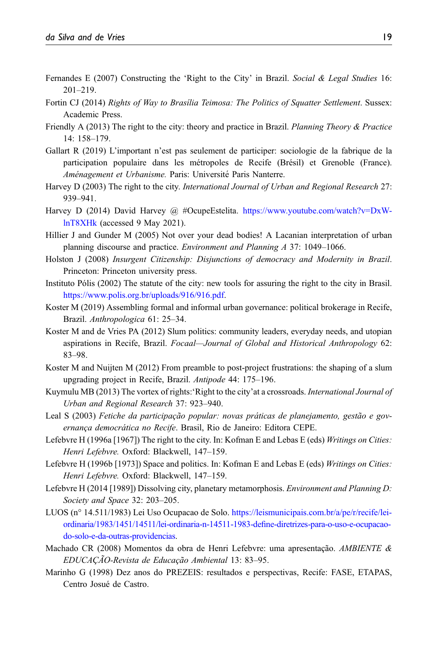- <span id="page-18-3"></span>Fernandes E (2007) Constructing the 'Right to the City' in Brazil. Social & Legal Studies 16: 201–219.
- <span id="page-18-5"></span>Fortin CJ (2014) Rights of Way to Brasília Teimosa: The Politics of Squatter Settlement. Sussex: Academic Press.
- <span id="page-18-4"></span>Friendly A (2013) The right to the city: theory and practice in Brazil. Planning Theory & Practice 14: 158–179.
- <span id="page-18-13"></span>Gallart R (2019) L'important n'est pas seulement de participer: sociologie de la fabrique de la participation populaire dans les métropoles de Recife (Brésil) et Grenoble (France). Aménagement et Urbanisme. Paris: Université Paris Nanterre.
- <span id="page-18-11"></span>Harvey D (2003) The right to the city. International Journal of Urban and Regional Research 27: 939–941.
- <span id="page-18-18"></span>Harvey D (2014) David Harvey  $\mathcal{Q}$  #OcupeEstelita. [https://www.youtube.com/watch?v=DxW](https://www.youtube.com/watch?v=DxW-lnT8XHk)[lnT8XHk](https://www.youtube.com/watch?v=DxW-lnT8XHk) (accessed 9 May 2021).
- <span id="page-18-12"></span>Hillier J and Gunder M (2005) Not over your dead bodies! A Lacanian interpretation of urban planning discourse and practice. Environment and Planning A 37: 1049–1066.
- <span id="page-18-19"></span>Holston J (2008) Insurgent Citizenship: Disjunctions of democracy and Modernity in Brazil. Princeton: Princeton university press.
- <span id="page-18-8"></span>Instituto Pólis (2002) The statute of the city: new tools for assuring the right to the city in Brasil. <https://www.polis.org.br/uploads/916/916.pdf>.
- <span id="page-18-15"></span>Koster M (2019) Assembling formal and informal urban governance: political brokerage in Recife, Brazil. Anthropologica 61: 25–34.
- <span id="page-18-10"></span>Koster M and de Vries PA (2012) Slum politics: community leaders, everyday needs, and utopian aspirations in Recife, Brazil. Focaal—Journal of Global and Historical Anthropology 62: 83–98.
- <span id="page-18-6"></span>Koster M and Nuijten M (2012) From preamble to post-project frustrations: the shaping of a slum upgrading project in Recife, Brazil. Antipode 44: 175–196.
- <span id="page-18-14"></span><span id="page-18-2"></span>Kuymulu MB (2013) The vortex of rights:'Right to the city'at a crossroads. International Journal of Urban and Regional Research 37: 923–940.
- <span id="page-18-0"></span>Leal S (2003) Fetiche da participação popular: novas práticas de planejamento, gestão e governança democrática no Recife. Brasil, Rio de Janeiro: Editora CEPE.
- <span id="page-18-1"></span>Lefebvre H (1996a [1967]) The right to the city. In: Kofman E and Lebas E (eds) Writings on Cities: Henri Lefebvre. Oxford: Blackwell, 147–159.
- <span id="page-18-9"></span>Lefebvre H (1996b [1973]) Space and politics. In: Kofman E and Lebas E (eds) Writings on Cities: Henri Lefebvre. Oxford: Blackwell, 147–159.
- <span id="page-18-16"></span>Lefebvre H (2014 [1989]) Dissolving city, planetary metamorphosis. Environment and Planning D: Society and Space 32: 203–205.
- LUOS (n° 14.511/1983) Lei Uso Ocupacao de Solo. [https://leismunicipais.com.br/a/pe/r/recife/lei](https://leismunicipais.com.br/a/pe/r/recife/lei-ordinaria/1983/1451/14511/lei-ordinaria-n-14511-1983-define-diretrizes-para-o-uso-e-ocupacao-do-solo-e-da-outras-providencias)[ordinaria/1983/1451/14511/lei-ordinaria-n-14511-1983-de](https://leismunicipais.com.br/a/pe/r/recife/lei-ordinaria/1983/1451/14511/lei-ordinaria-n-14511-1983-define-diretrizes-para-o-uso-e-ocupacao-do-solo-e-da-outras-providencias)fine-diretrizes-para-o-uso-e-ocupacao[do-solo-e-da-outras-providencias](https://leismunicipais.com.br/a/pe/r/recife/lei-ordinaria/1983/1451/14511/lei-ordinaria-n-14511-1983-define-diretrizes-para-o-uso-e-ocupacao-do-solo-e-da-outras-providencias).
- <span id="page-18-17"></span><span id="page-18-7"></span>Machado CR (2008) Momentos da obra de Henri Lefebvre: uma apresentação. AMBIENTE & EDUCAÇÃO-Revista de Educação Ambiental 13: 83–95.
- Marinho G (1998) Dez anos do PREZEIS: resultados e perspectivas, Recife: FASE, ETAPAS, Centro Josué de Castro.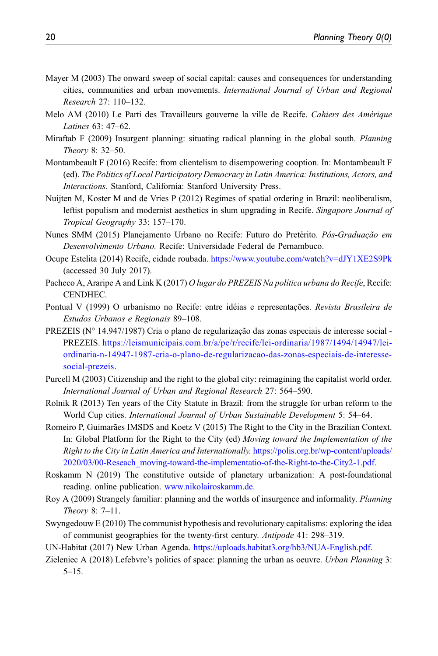- <span id="page-19-0"></span>Mayer M (2003) The onward sweep of social capital: causes and consequences for understanding cities, communities and urban movements. International Journal of Urban and Regional Research 27: 110–132.
- <span id="page-19-5"></span>Melo AM (2010) Le Parti des Travailleurs gouverne la ville de Recife. Cahiers des Amérique Latines 63: 47–62.
- <span id="page-19-15"></span>Miraftab F (2009) Insurgent planning: situating radical planning in the global south. Planning Theory 8: 32–50.
- <span id="page-19-9"></span>Montambeault F (2016) Recife: from clientelism to disempowering cooption. In: Montambeault F (ed). The Politics of Local Participatory Democracy in Latin America: Institutions, Actors, and Interactions. Stanford, California: Stanford University Press.
- <span id="page-19-13"></span>Nuijten M, Koster M and de Vries P (2012) Regimes of spatial ordering in Brazil: neoliberalism, leftist populism and modernist aesthetics in slum upgrading in Recife. Singapore Journal of Tropical Geography 33: 157–170.
- <span id="page-19-11"></span>Nunes SMM (2015) Planejamento Urbano no Recife: Futuro do Pretérito. Pós-Graduação em Desenvolvimento Urbano. Recife: Universidade Federal de Pernambuco.
- <span id="page-19-14"></span>Ocupe Estelita (2014) Recife, cidade roubada. <https://www.youtube.com/watch?v=dJY1XE2S9Pk> (accessed 30 July 2017).
- <span id="page-19-12"></span>Pacheco A, Araripe A and Link K (2017) O lugar do PREZEIS Na política urbana do Recife, Recife: CENDHEC.
- <span id="page-19-8"></span>Pontual V (1999) O urbanismo no Recife: entre idéias e representações. Revista Brasileira de Estudos Urbanos e Regionais 89–108.
- <span id="page-19-10"></span>PREZEIS (N° 14.947/1987) Cria o plano de regularização das zonas especiais de interesse social - PREZEIS. [https://leismunicipais.com.br/a/pe/r/recife/lei-ordinaria/1987/1494/14947/lei](https://leismunicipais.com.br/a/pe/r/recife/lei-ordinaria/1987/1494/14947/lei-ordinaria-n-14947-1987-cria-o-plano-de-regularizacao-das-zonas-especiais-de-interesse-social-prezeis)[ordinaria-n-14947-1987-cria-o-plano-de-regularizacao-das-zonas-especiais-de-interesse](https://leismunicipais.com.br/a/pe/r/recife/lei-ordinaria/1987/1494/14947/lei-ordinaria-n-14947-1987-cria-o-plano-de-regularizacao-das-zonas-especiais-de-interesse-social-prezeis)[social-prezeis](https://leismunicipais.com.br/a/pe/r/recife/lei-ordinaria/1987/1494/14947/lei-ordinaria-n-14947-1987-cria-o-plano-de-regularizacao-das-zonas-especiais-de-interesse-social-prezeis).
- <span id="page-19-6"></span>Purcell M (2003) Citizenship and the right to the global city: reimagining the capitalist world order. International Journal of Urban and Regional Research 27: 564–590.
- <span id="page-19-4"></span>Rolnik R (2013) Ten years of the City Statute in Brazil: from the struggle for urban reform to the World Cup cities. International Journal of Urban Sustainable Development 5: 54–64.
- <span id="page-19-3"></span>Romeiro P, Guimarães IMSDS and Koetz V (2015) The Right to the City in the Brazilian Context. In: Global Platform for the Right to the City (ed) Moving toward the Implementation of the Right to the City in Latin America and Internationally. [https://polis.org.br/wp-content/uploads/](https://polis.org.br/wp-content/uploads/2020/03/00-Reseach_moving-toward-the-implementatio-of-the-Right-to-the-City2-1.pdf) [2020/03/00-Reseach\\_moving-toward-the-implementatio-of-the-Right-to-the-City2-1.pdf.](https://polis.org.br/wp-content/uploads/2020/03/00-Reseach_moving-toward-the-implementatio-of-the-Right-to-the-City2-1.pdf)
- <span id="page-19-16"></span><span id="page-19-2"></span>Roskamm N (2019) The constitutive outside of planetary urbanization: A post-foundational reading. online publication. [www.nikolairoskamm.de.](http://www.nikolairoskamm.de)
- <span id="page-19-17"></span>Roy A (2009) Strangely familiar: planning and the worlds of insurgence and informality. Planning Theory 8: 7–11.
- <span id="page-19-1"></span>Swyngedouw E (2010) The communist hypothesis and revolutionary capitalisms: exploring the idea of communist geographies for the twenty-first century. Antipode 41: 298–319.
- <span id="page-19-7"></span>UN-Habitat (2017) New Urban Agenda. <https://uploads.habitat3.org/hb3/NUA-English.pdf>.
- Zieleniec A (2018) Lefebvre's politics of space: planning the urban as oeuvre. Urban Planning 3: 5–15.